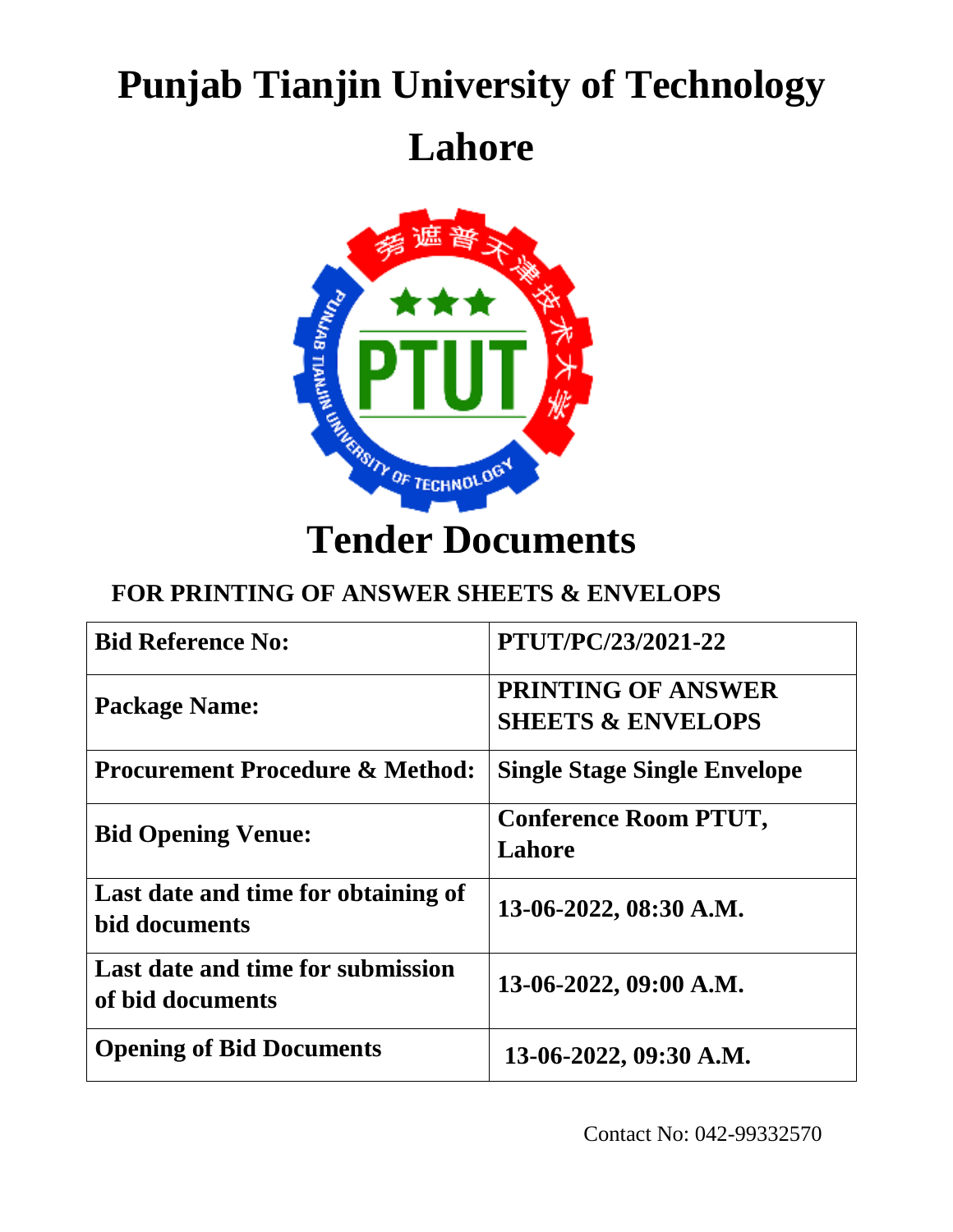# **Punjab Tianjin University of Technology Lahore**



# **FOR PRINTING OF ANSWER SHEETS & ENVELOPS**

| <b>Bid Reference No:</b>                              | <b>PTUT/PC/23/2021-22</b>                                 |
|-------------------------------------------------------|-----------------------------------------------------------|
| <b>Package Name:</b>                                  | <b>PRINTING OF ANSWER</b><br><b>SHEETS &amp; ENVELOPS</b> |
| <b>Procurement Procedure &amp; Method:</b>            | <b>Single Stage Single Envelope</b>                       |
| <b>Bid Opening Venue:</b>                             | <b>Conference Room PTUT,</b><br>Lahore                    |
| Last date and time for obtaining of<br>bid documents  | 13-06-2022, 08:30 A.M.                                    |
| Last date and time for submission<br>of bid documents | 13-06-2022, 09:00 A.M.                                    |
| <b>Opening of Bid Documents</b>                       | 13-06-2022, 09:30 A.M.                                    |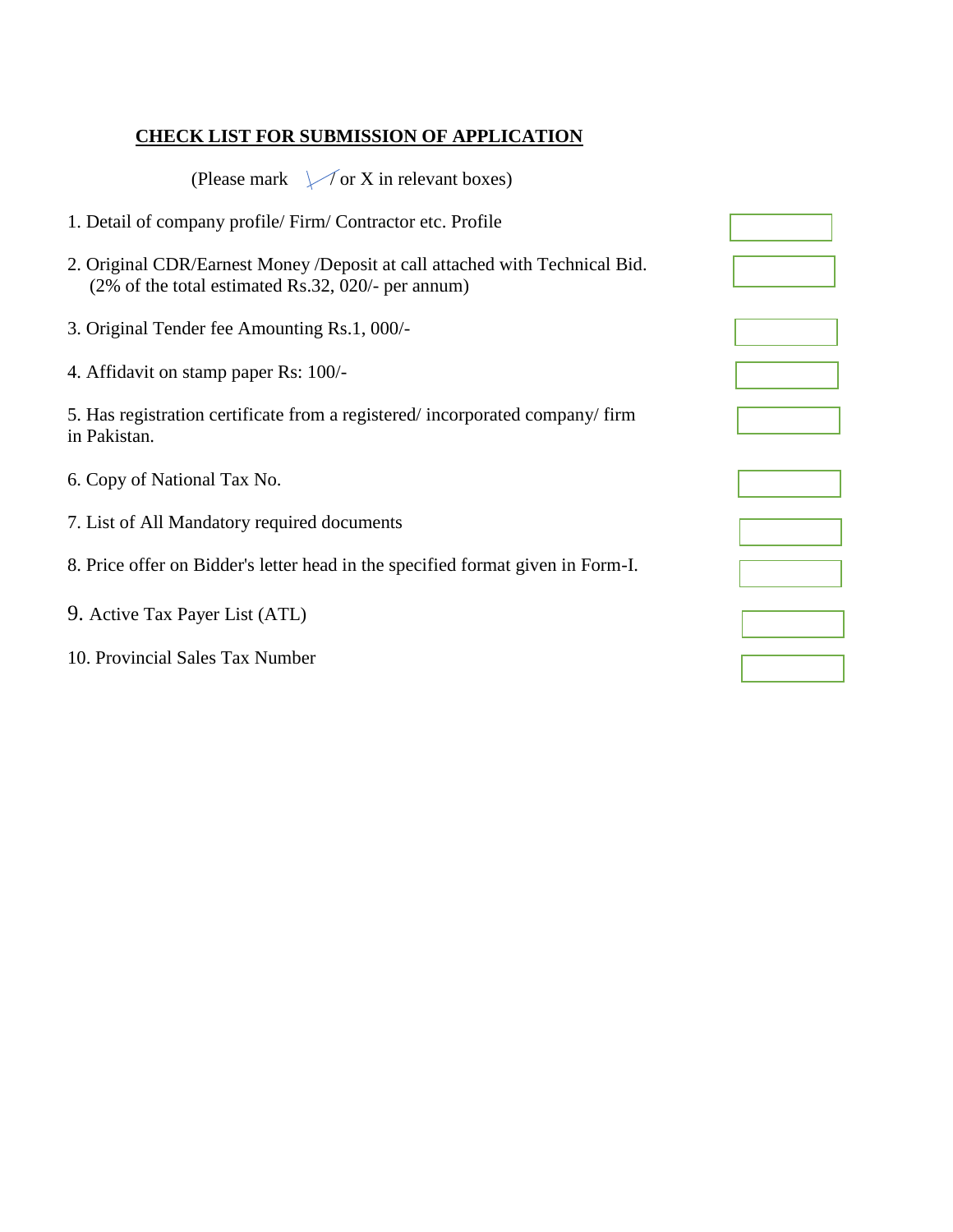#### **CHECK LIST FOR SUBMISSION OF APPLICATION**

| (Please mark $\sqrt{\ }$ or X in relevant boxes)                                                                                  |  |
|-----------------------------------------------------------------------------------------------------------------------------------|--|
| 1. Detail of company profile/ Firm/ Contractor etc. Profile                                                                       |  |
| 2. Original CDR/Earnest Money /Deposit at call attached with Technical Bid.<br>(2% of the total estimated Rs.32, 020/- per annum) |  |
| 3. Original Tender fee Amounting Rs.1, 000/-                                                                                      |  |
| 4. Affidavit on stamp paper Rs: 100/-                                                                                             |  |
| 5. Has registration certificate from a registered/incorporated company/firm<br>in Pakistan.                                       |  |
| 6. Copy of National Tax No.                                                                                                       |  |
| 7. List of All Mandatory required documents                                                                                       |  |
| 8. Price offer on Bidder's letter head in the specified format given in Form-I.                                                   |  |
| 9. Active Tax Payer List (ATL)                                                                                                    |  |
| 10. Provincial Sales Tax Number                                                                                                   |  |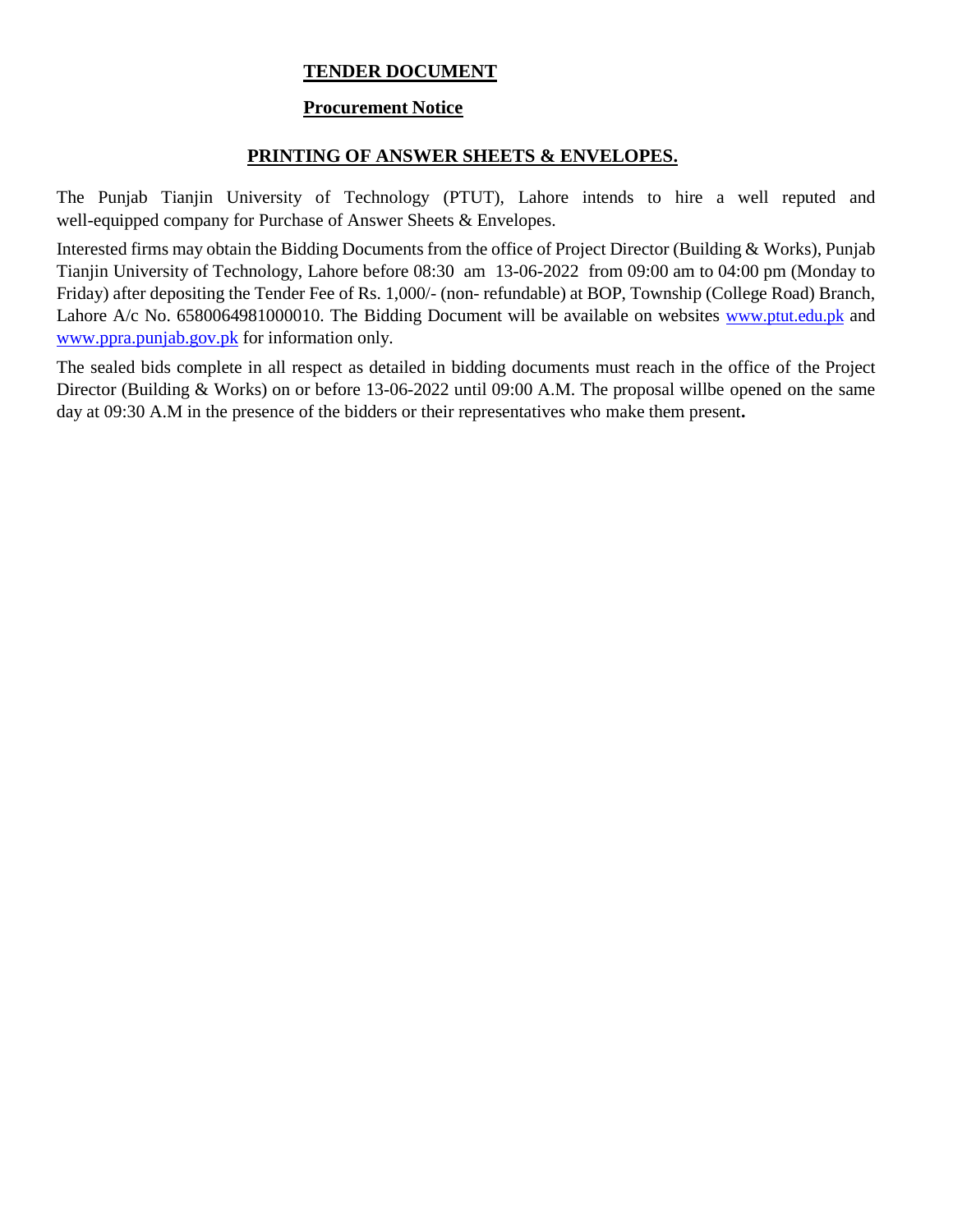#### **TENDER DOCUMENT**

#### **Procurement Notice**

#### **PRINTING OF ANSWER SHEETS & ENVELOPES.**

The Punjab Tianjin University of Technology (PTUT), Lahore intends to hire a well reputed and well-equipped company for Purchase of Answer Sheets & Envelopes.

Interested firms may obtain the Bidding Documents from the office of Project Director (Building & Works), Punjab Tianjin University of Technology, Lahore before 08:30 am 13-06-2022 from 09:00 am to 04:00 pm (Monday to Friday) after depositing the Tender Fee of Rs. 1,000/- (non- refundable) at BOP, Township (College Road) Branch, Lahore A/c No. 6580064981000010. The Bidding Document will be available on websites [www.ptut.edu.pk](http://www.ptut.edu.pk/) and [www.ppra.punjab.gov.pk](http://www.ppra.punjab.gov.pk/) for information only.

The sealed bids complete in all respect as detailed in bidding documents must reach in the office of the Project Director (Building & Works) on or before 13-06-2022 until 09:00 A.M. The proposal willbe opened on the same day at 09:30 A.M in the presence of the bidders or their representatives who make them present**.**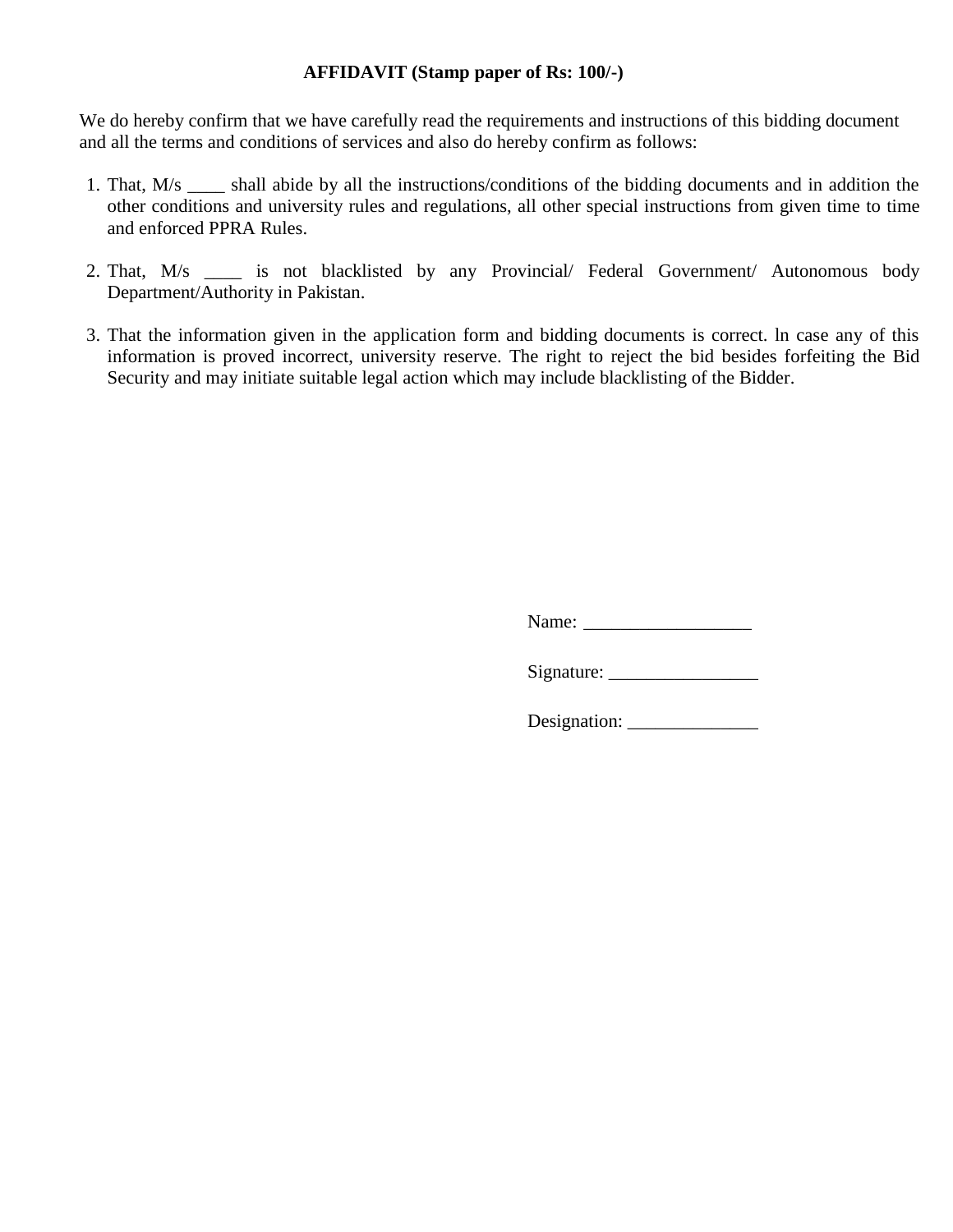#### **AFFIDAVIT (Stamp paper of Rs: 100/-)**

We do hereby confirm that we have carefully read the requirements and instructions of this bidding document and all the terms and conditions of services and also do hereby confirm as follows:

- 1. That, M/s \_\_\_\_ shall abide by all the instructions/conditions of the bidding documents and in addition the other conditions and university rules and regulations, all other special instructions from given time to time and enforced PPRA Rules.
- 2. That, M/s \_\_\_\_ is not blacklisted by any Provincial/ Federal Government/ Autonomous body Department/Authority in Pakistan.
- 3. That the information given in the application form and bidding documents is correct. ln case any of this information is proved incorrect, university reserve. The right to reject the bid besides forfeiting the Bid Security and may initiate suitable legal action which may include blacklisting of the Bidder.

Name: \_\_\_\_\_\_\_\_\_\_\_\_\_\_\_\_\_\_

Signature: \_\_\_\_\_\_\_\_\_\_\_\_\_\_\_\_

Designation: \_\_\_\_\_\_\_\_\_\_\_\_\_\_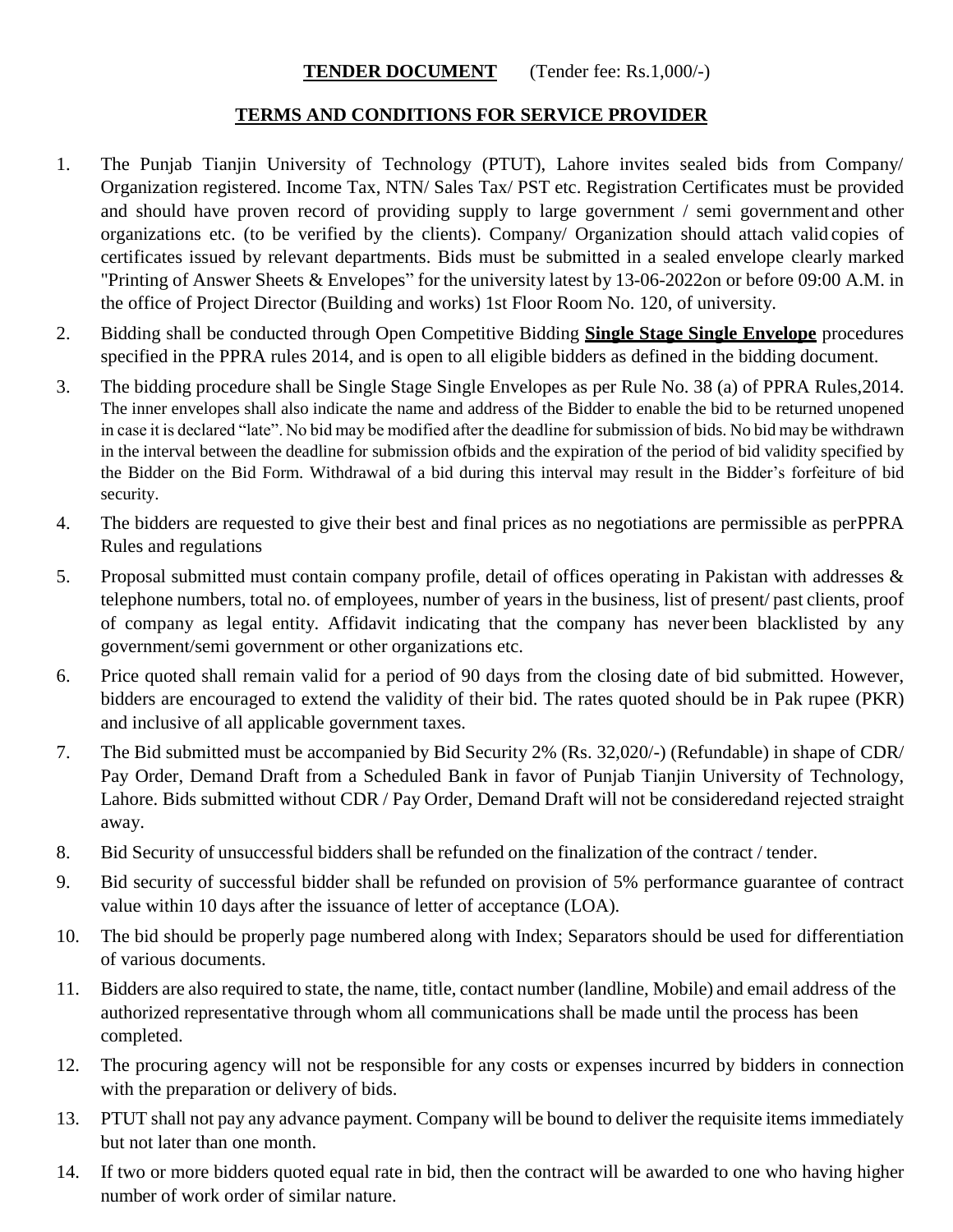#### **TENDER DOCUMENT** (Tender fee: Rs.1,000/-)

#### **TERMS AND CONDITIONS FOR SERVICE PROVIDER**

- 1. The Punjab Tianjin University of Technology (PTUT), Lahore invites sealed bids from Company/ Organization registered. Income Tax, NTN/ Sales Tax/ PST etc. Registration Certificates must be provided and should have proven record of providing supply to large government / semi government and other organizations etc. (to be verified by the clients). Company/ Organization should attach valid copies of certificates issued by relevant departments. Bids must be submitted in a sealed envelope clearly marked "Printing of Answer Sheets & Envelopes" for the university latest by 13-06-2022on or before 09:00 A.M. in the office of Project Director (Building and works) 1st Floor Room No. 120, of university.
- 2. Bidding shall be conducted through Open Competitive Bidding **Single Stage Single Envelope** procedures specified in the PPRA rules 2014, and is open to all eligible bidders as defined in the bidding document.
- 3. The bidding procedure shall be Single Stage Single Envelopes as per Rule No. 38 (a) of PPRA Rules,2014. The inner envelopes shall also indicate the name and address of the Bidder to enable the bid to be returned unopened in case it is declared "late". No bid may be modified after the deadline for submission of bids. No bid may be withdrawn in the interval between the deadline for submission ofbids and the expiration of the period of bid validity specified by the Bidder on the Bid Form. Withdrawal of a bid during this interval may result in the Bidder's forfeiture of bid security.
- 4. The bidders are requested to give their best and final prices as no negotiations are permissible as perPPRA Rules and regulations
- 5. Proposal submitted must contain company profile, detail of offices operating in Pakistan with addresses & telephone numbers, total no. of employees, number of years in the business, list of present/ past clients, proof of company as legal entity. Affidavit indicating that the company has never been blacklisted by any government/semi government or other organizations etc.
- 6. Price quoted shall remain valid for a period of 90 days from the closing date of bid submitted. However, bidders are encouraged to extend the validity of their bid. The rates quoted should be in Pak rupee (PKR) and inclusive of all applicable government taxes.
- 7. The Bid submitted must be accompanied by Bid Security 2% (Rs. 32,020/-) (Refundable) in shape of CDR/ Pay Order, Demand Draft from a Scheduled Bank in favor of Punjab Tianjin University of Technology, Lahore. Bids submitted without CDR / Pay Order, Demand Draft will not be consideredand rejected straight away.
- 8. Bid Security of unsuccessful bidders shall be refunded on the finalization of the contract / tender.
- 9. Bid security of successful bidder shall be refunded on provision of 5% performance guarantee of contract value within 10 days after the issuance of letter of acceptance (LOA).
- 10. The bid should be properly page numbered along with Index; Separators should be used for differentiation of various documents.
- 11. Bidders are also required to state, the name, title, contact number (landline, Mobile) and email address of the authorized representative through whom all communications shall be made until the process has been completed.
- 12. The procuring agency will not be responsible for any costs or expenses incurred by bidders in connection with the preparation or delivery of bids.
- 13. PTUT shall not pay any advance payment. Company will be bound to deliver the requisite items immediately but not later than one month.
- 14. If two or more bidders quoted equal rate in bid, then the contract will be awarded to one who having higher number of work order of similar nature.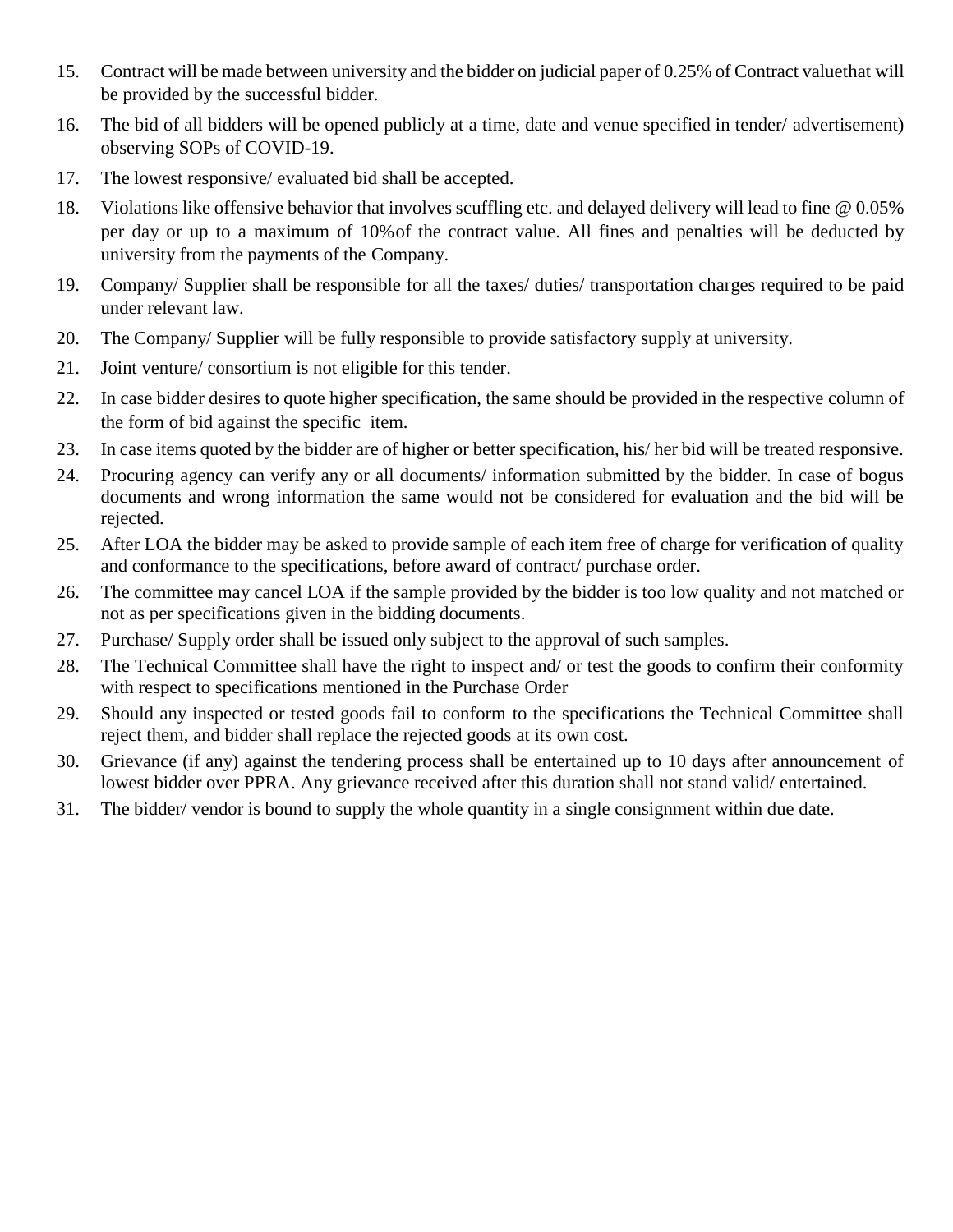- 15. Contract will be made between university and the bidder on judicial paper of 0.25% of Contract valuethat will be provided by the successful bidder.
- 16. The bid of all bidders will be opened publicly at a time, date and venue specified in tender/ advertisement) observing SOPs of COVID-19.
- 17. The lowest responsive/ evaluated bid shall be accepted.
- 18. Violations like offensive behavior that involves scuffling etc. and delayed delivery will lead to fine @ 0.05% per day or up to a maximum of 10%of the contract value. All fines and penalties will be deducted by university from the payments of the Company.
- 19. Company/ Supplier shall be responsible for all the taxes/ duties/ transportation charges required to be paid under relevant law.
- 20. The Company/ Supplier will be fully responsible to provide satisfactory supply at university.
- 21. Joint venture/ consortium is not eligible for this tender.
- 22. In case bidder desires to quote higher specification, the same should be provided in the respective column of the form of bid against the specific item.
- 23. In case items quoted by the bidder are of higher or better specification, his/ her bid will be treated responsive.
- 24. Procuring agency can verify any or all documents/ information submitted by the bidder. In case of bogus documents and wrong information the same would not be considered for evaluation and the bid will be rejected.
- 25. After LOA the bidder may be asked to provide sample of each item free of charge for verification of quality and conformance to the specifications, before award of contract/ purchase order.
- 26. The committee may cancel LOA if the sample provided by the bidder is too low quality and not matched or not as per specifications given in the bidding documents.
- 27. Purchase/ Supply order shall be issued only subject to the approval of such samples.
- 28. The Technical Committee shall have the right to inspect and/ or test the goods to confirm their conformity with respect to specifications mentioned in the Purchase Order
- 29. Should any inspected or tested goods fail to conform to the specifications the Technical Committee shall reject them, and bidder shall replace the rejected goods at its own cost.
- 30. Grievance (if any) against the tendering process shall be entertained up to 10 days after announcement of lowest bidder over PPRA. Any grievance received after this duration shall not stand valid/ entertained.
- 31. The bidder/ vendor is bound to supply the whole quantity in a single consignment within due date.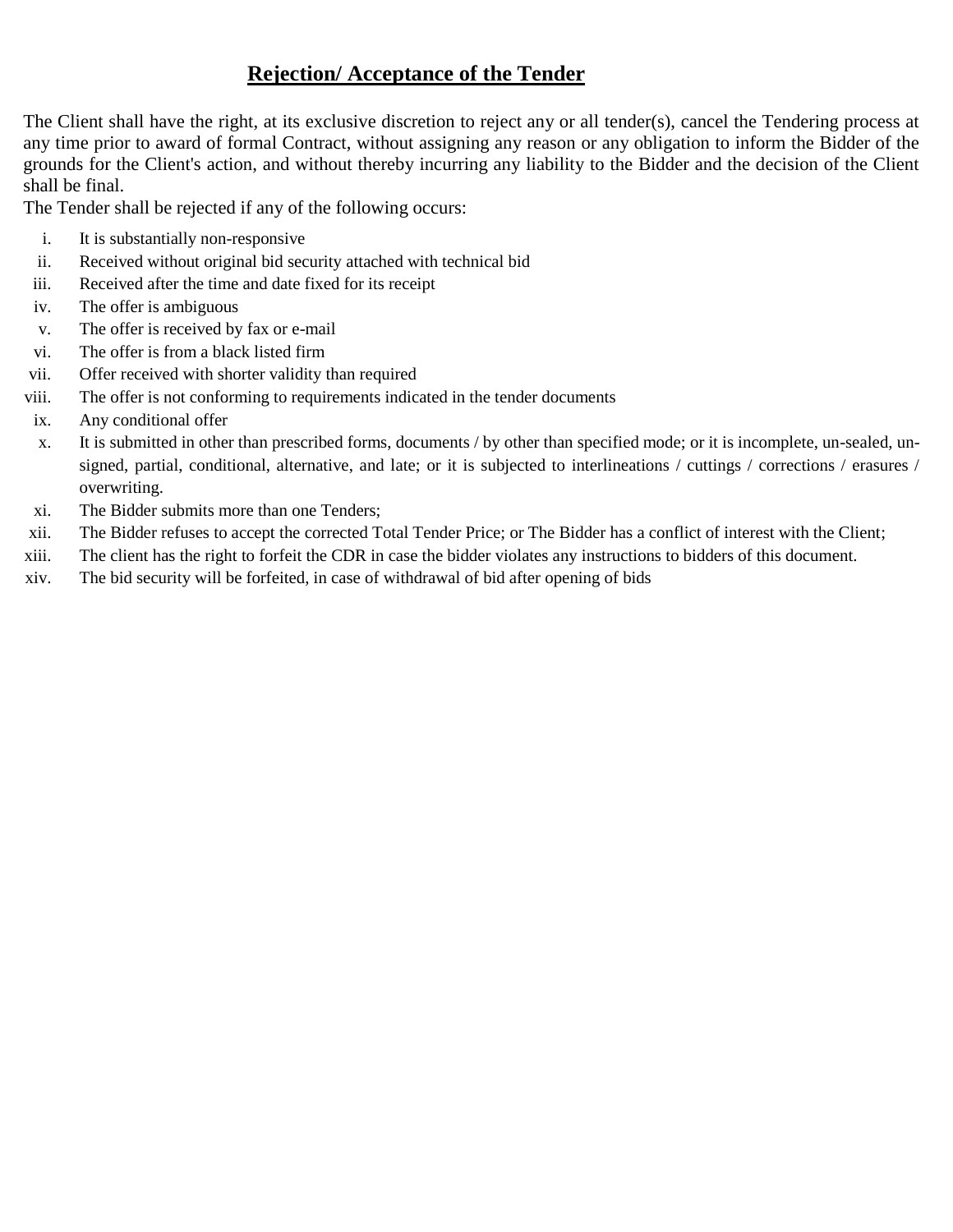### **Rejection/ Acceptance of the Tender**

The Client shall have the right, at its exclusive discretion to reject any or all tender(s), cancel the Tendering process at any time prior to award of formal Contract, without assigning any reason or any obligation to inform the Bidder of the grounds for the Client's action, and without thereby incurring any liability to the Bidder and the decision of the Client shall be final.

The Tender shall be rejected if any of the following occurs:

- i. It is substantially non-responsive
- ii. Received without original bid security attached with technical bid
- iii. Received after the time and date fixed for its receipt
- iv. The offer is ambiguous
- v. The offer is received by fax or e-mail
- vi. The offer is from a black listed firm
- vii. Offer received with shorter validity than required
- viii. The offer is not conforming to requirements indicated in the tender documents
- ix. Any conditional offer
- x. It is submitted in other than prescribed forms, documents / by other than specified mode; or it is incomplete, un-sealed, unsigned, partial, conditional, alternative, and late; or it is subjected to interlineations / cuttings / corrections / erasures / overwriting.
- xi. The Bidder submits more than one Tenders;
- xii. The Bidder refuses to accept the corrected Total Tender Price; or The Bidder has a conflict of interest with the Client;
- xiii. The client has the right to forfeit the CDR in case the bidder violates any instructions to bidders of this document.
- xiv. The bid security will be forfeited, in case of withdrawal of bid after opening of bids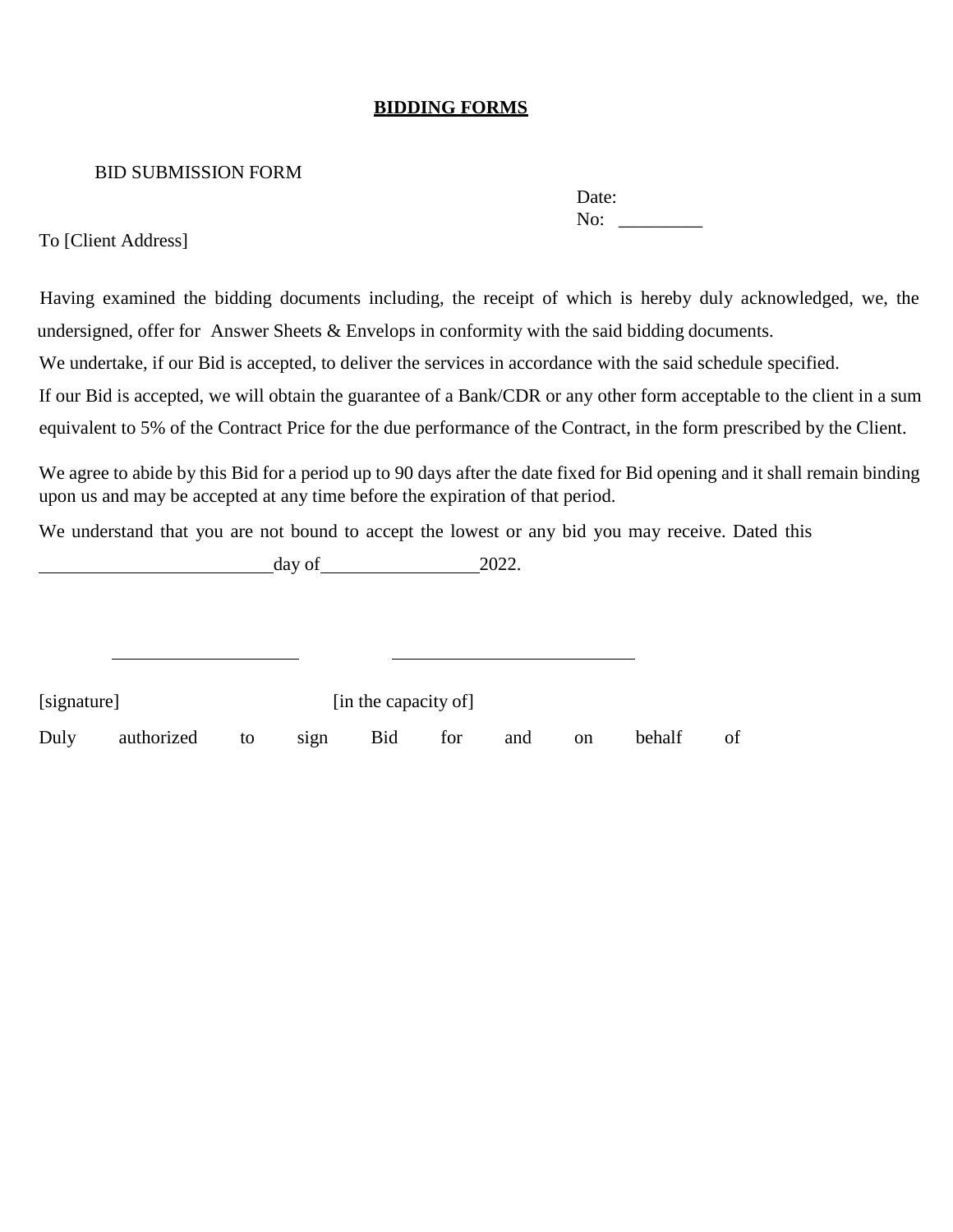#### **BIDDING FORMS**

#### BID SUBMISSION FORM

| Date: |  |
|-------|--|
| No:   |  |

To [Client Address]

 Having examined the bidding documents including, the receipt of which is hereby duly acknowledged, we, the undersigned, offer for Answer Sheets & Envelops in conformity with the said bidding documents. We undertake, if our Bid is accepted, to deliver the services in accordance with the said schedule specified. If our Bid is accepted, we will obtain the guarantee of a Bank/CDR or any other form acceptable to the client in a sum

equivalent to 5% of the Contract Price for the due performance of the Contract, in the form prescribed by the Client.

We agree to abide by this Bid for a period up to 90 days after the date fixed for Bid opening and it shall remain binding upon us and may be accepted at any time before the expiration of that period.

We understand that you are not bound to accept the lowest or any bid you may receive. Dated this

 $day of$  2022.

| [signature] |            |      |      | [in the capacity of] |     |     |               |        |    |
|-------------|------------|------|------|----------------------|-----|-----|---------------|--------|----|
| Duly        | authorized | . to | sign | Bid                  | for | and | <sub>on</sub> | behalf | of |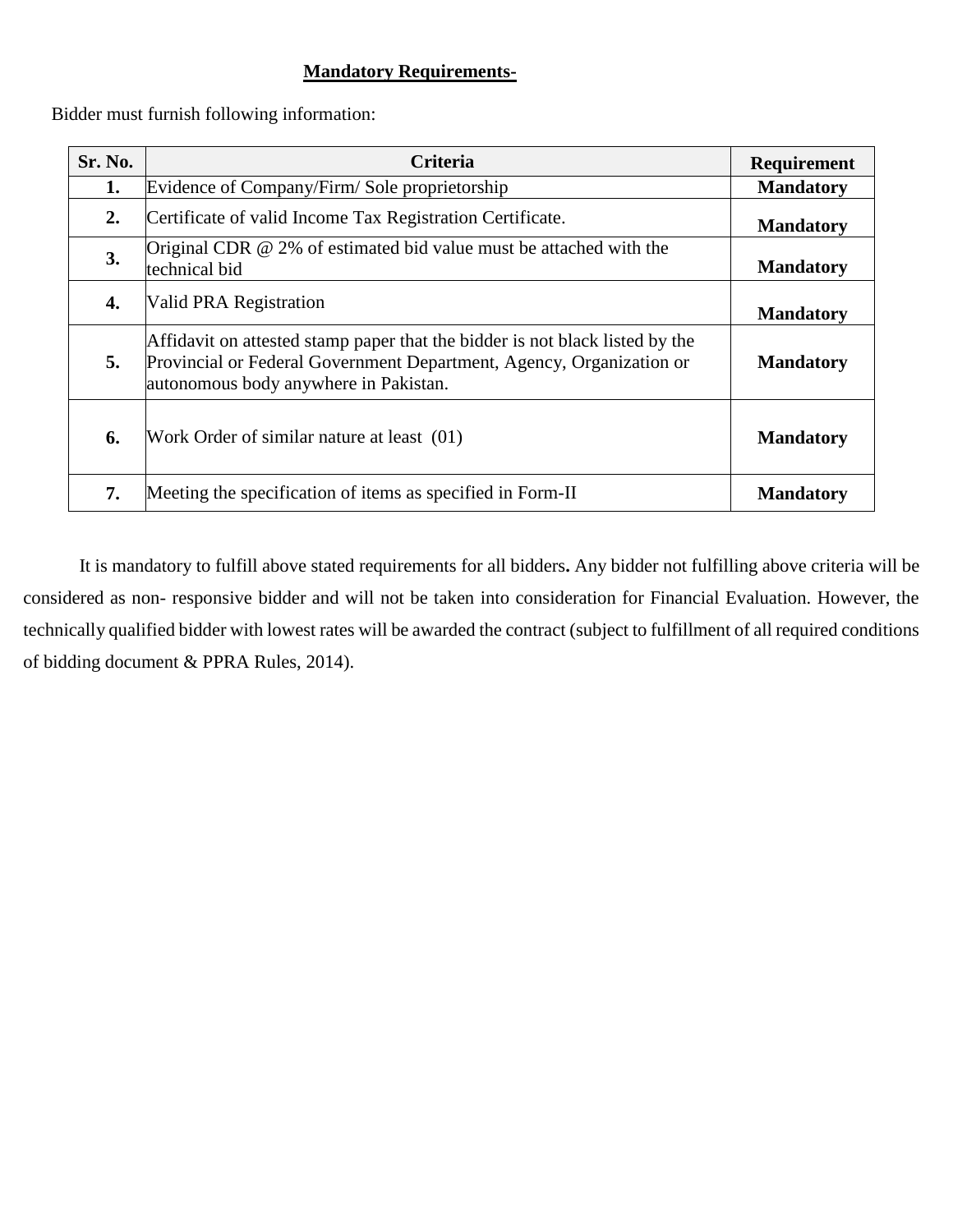#### **Mandatory Requirements-**

Bidder must furnish following information:

| <b>Sr. No.</b> | <b>Criteria</b>                                                                                                                                                                               | Requirement      |
|----------------|-----------------------------------------------------------------------------------------------------------------------------------------------------------------------------------------------|------------------|
| 1.             | Evidence of Company/Firm/Sole proprietorship                                                                                                                                                  | <b>Mandatory</b> |
| 2.             | Certificate of valid Income Tax Registration Certificate.                                                                                                                                     | <b>Mandatory</b> |
| <b>3.</b>      | Original CDR $@$ 2% of estimated bid value must be attached with the<br>technical bid                                                                                                         | <b>Mandatory</b> |
| 4.             | Valid PRA Registration                                                                                                                                                                        | <b>Mandatory</b> |
| 5.             | Affidavit on attested stamp paper that the bidder is not black listed by the<br>Provincial or Federal Government Department, Agency, Organization or<br>autonomous body anywhere in Pakistan. | <b>Mandatory</b> |
| 6.             | Work Order of similar nature at least (01)                                                                                                                                                    | <b>Mandatory</b> |
| 7.             | Meeting the specification of items as specified in Form-II                                                                                                                                    | <b>Mandatory</b> |

It is mandatory to fulfill above stated requirements for all bidders**.** Any bidder not fulfilling above criteria will be considered as non- responsive bidder and will not be taken into consideration for Financial Evaluation. However, the technically qualified bidder with lowest rates will be awarded the contract (subject to fulfillment of all required conditions of bidding document & PPRA Rules, 2014).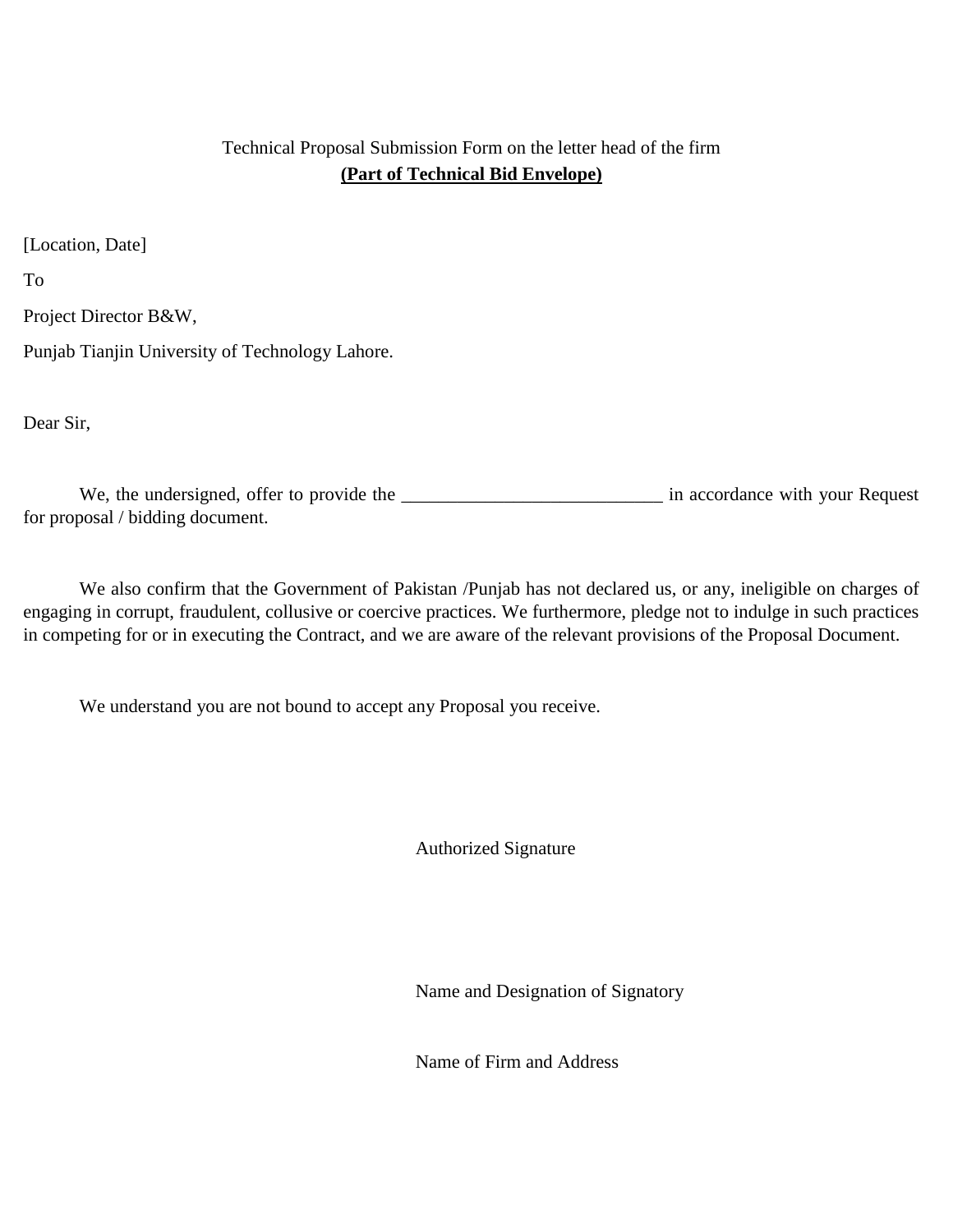#### Technical Proposal Submission Form on the letter head of the firm **(Part of Technical Bid Envelope)**

[Location, Date]

To

Project Director B&W,

Punjab Tianjin University of Technology Lahore.

Dear Sir,

We, the undersigned, offer to provide the **with** your Request for proposal / bidding document.

We also confirm that the Government of Pakistan /Punjab has not declared us, or any, ineligible on charges of engaging in corrupt, fraudulent, collusive or coercive practices. We furthermore, pledge not to indulge in such practices in competing for or in executing the Contract, and we are aware of the relevant provisions of the Proposal Document.

We understand you are not bound to accept any Proposal you receive.

Authorized Signature

Name and Designation of Signatory

Name of Firm and Address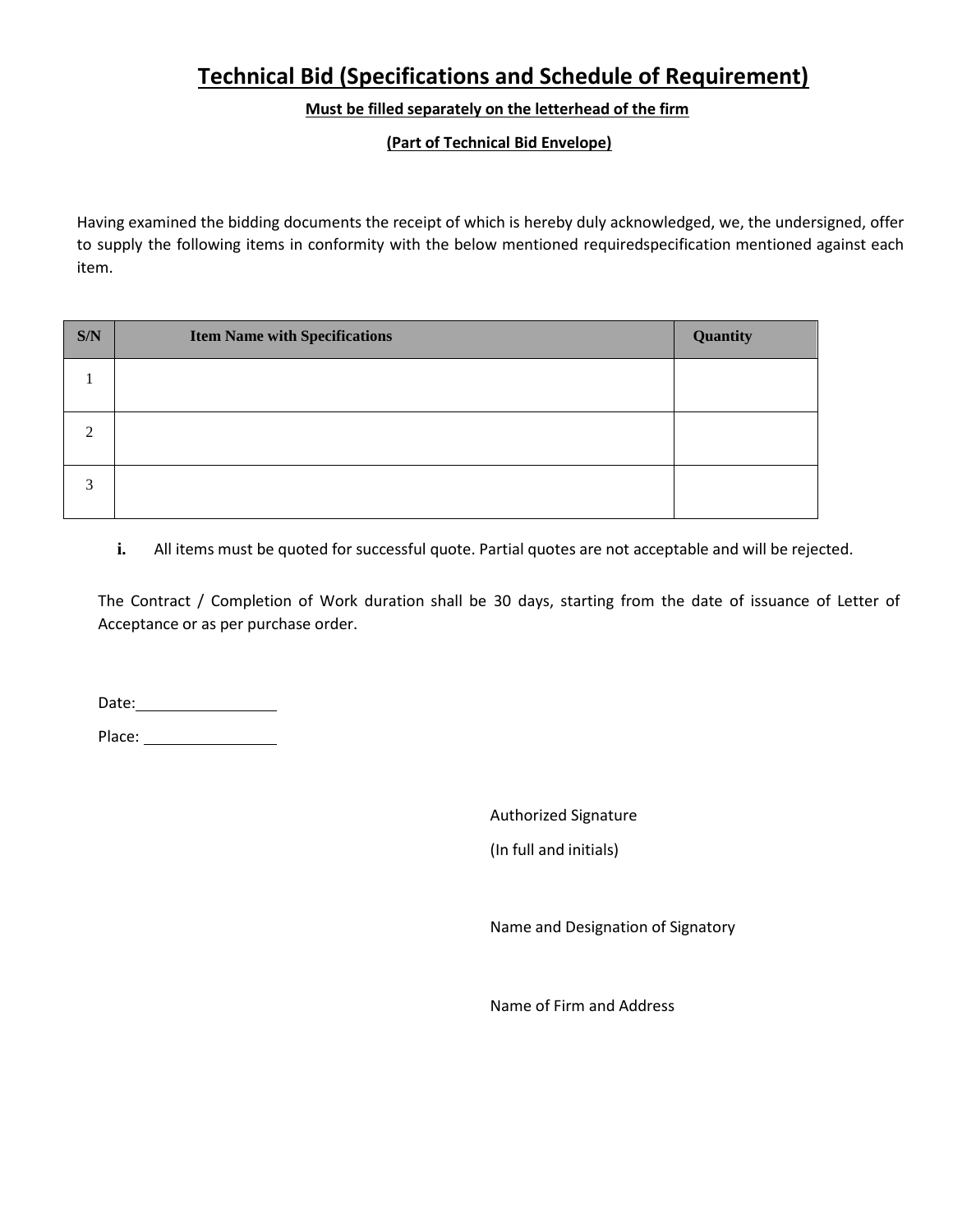## **Technical Bid (Specifications and Schedule of Requirement)**

#### **Must be filled separately on the letterhead of the firm**

#### **(Part of Technical Bid Envelope)**

Having examined the bidding documents the receipt of which is hereby duly acknowledged, we, the undersigned, offer to supply the following items in conformity with the below mentioned requiredspecification mentioned against each item.

| S/N    | <b>Item Name with Specifications</b> | Quantity |
|--------|--------------------------------------|----------|
|        |                                      |          |
| ∍      |                                      |          |
| ⌒<br>Ć |                                      |          |

**i.** All items must be quoted for successful quote. Partial quotes are not acceptable and will be rejected.

The Contract / Completion of Work duration shall be 30 days, starting from the date of issuance of Letter of Acceptance or as per purchase order.

Date: and the state of the state of the state of the state of the state of the state of the state of the state of the state of the state of the state of the state of the state of the state of the state of the state of the

Place:

Authorized Signature

(In full and initials)

Name and Designation of Signatory

Name of Firm and Address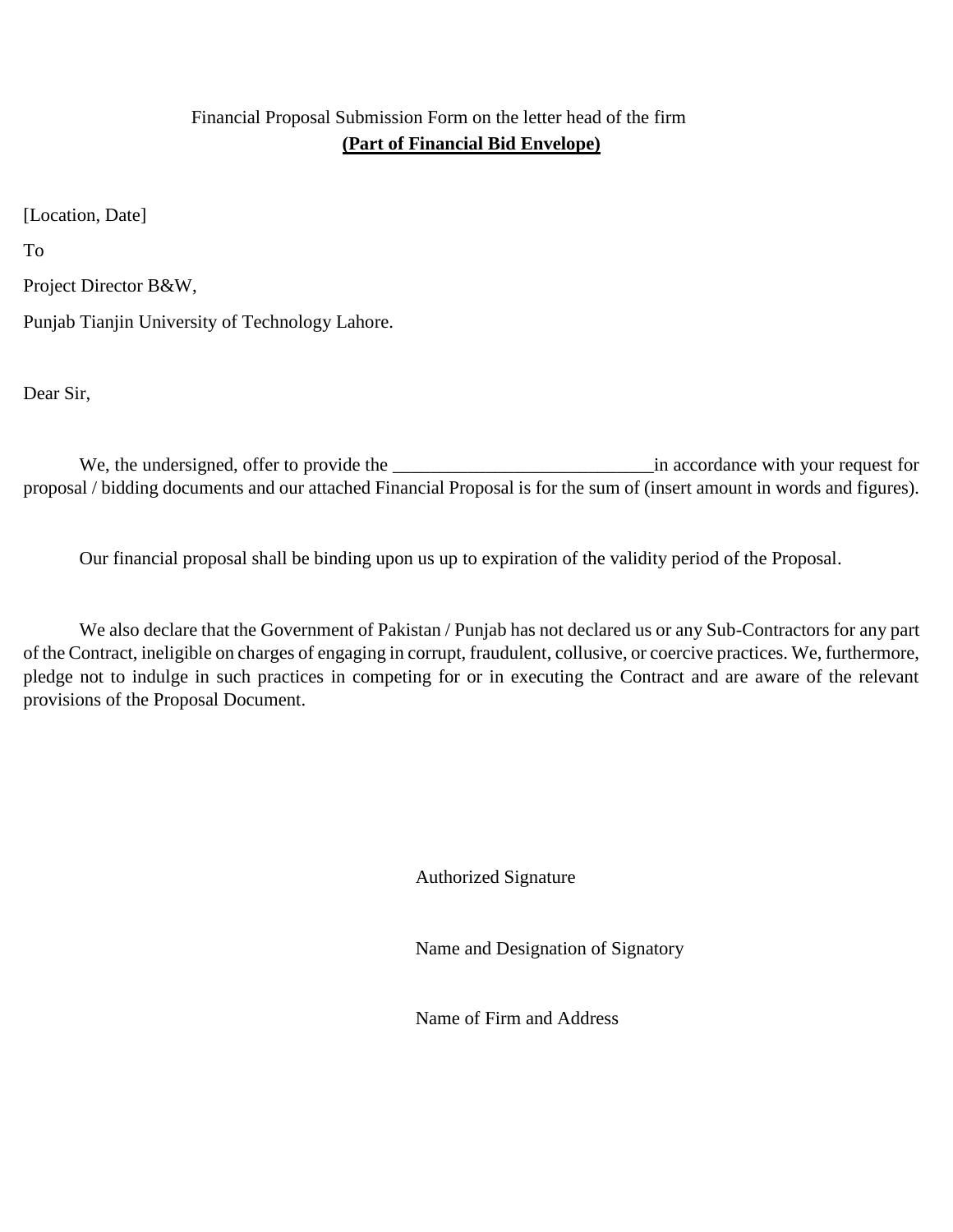#### Financial Proposal Submission Form on the letter head of the firm **(Part of Financial Bid Envelope)**

[Location, Date]

To

Project Director B&W,

Punjab Tianjin University of Technology Lahore.

Dear Sir,

We, the undersigned, offer to provide the \_\_\_\_\_\_\_\_\_\_\_\_\_\_\_\_\_\_\_\_\_\_\_\_\_\_\_\_in accordance with your request for proposal / bidding documents and our attached Financial Proposal is for the sum of (insert amount in words and figures).

Our financial proposal shall be binding upon us up to expiration of the validity period of the Proposal.

We also declare that the Government of Pakistan / Punjab has not declared us or any Sub-Contractors for any part of the Contract, ineligible on charges of engaging in corrupt, fraudulent, collusive, or coercive practices. We, furthermore, pledge not to indulge in such practices in competing for or in executing the Contract and are aware of the relevant provisions of the Proposal Document.

Authorized Signature

Name and Designation of Signatory

Name of Firm and Address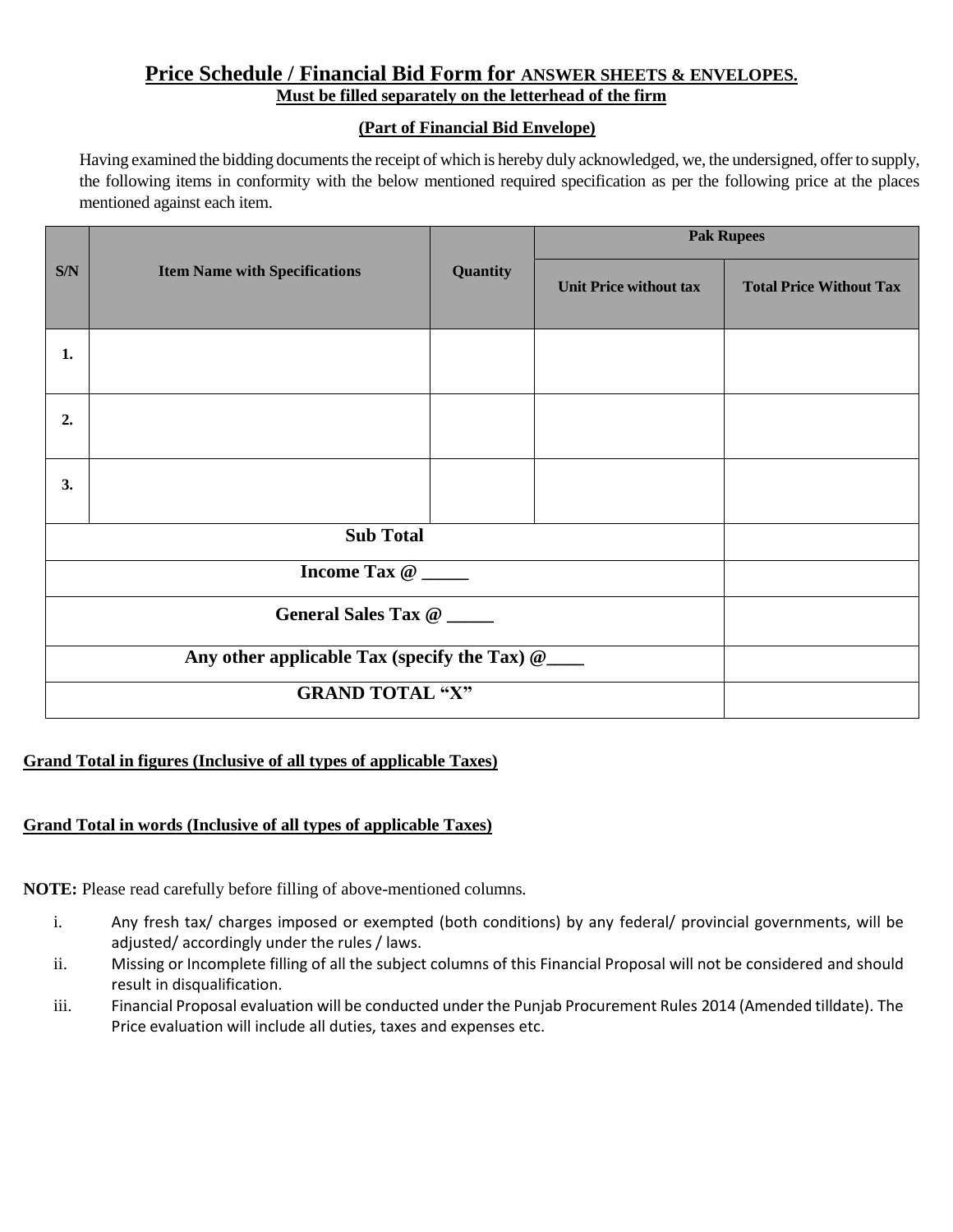#### **Price Schedule / Financial Bid Form for ANSWER SHEETS & ENVELOPES. Must be filled separately on the letterhead of the firm**

#### **(Part of Financial Bid Envelope)**

Having examined the bidding documents the receipt of which is hereby duly acknowledged, we, the undersigned, offer to supply, the following items in conformity with the below mentioned required specification as per the following price at the places mentioned against each item.

|     |                                                 | Quantity | <b>Pak Rupees</b>             |                                |  |
|-----|-------------------------------------------------|----------|-------------------------------|--------------------------------|--|
| S/N | <b>Item Name with Specifications</b>            |          | <b>Unit Price without tax</b> | <b>Total Price Without Tax</b> |  |
| 1.  |                                                 |          |                               |                                |  |
| 2.  |                                                 |          |                               |                                |  |
| 3.  |                                                 |          |                               |                                |  |
|     | <b>Sub Total</b>                                |          |                               |                                |  |
|     | Income Tax @                                    |          |                               |                                |  |
|     | General Sales Tax @                             |          |                               |                                |  |
|     | Any other applicable Tax (specify the Tax) @___ |          |                               |                                |  |
|     | <b>GRAND TOTAL "X"</b>                          |          |                               |                                |  |

#### **Grand Total in figures (Inclusive of all types of applicable Taxes)**

#### **Grand Total in words (Inclusive of all types of applicable Taxes)**

**NOTE:** Please read carefully before filling of above-mentioned columns*.*

- i. Any fresh tax/ charges imposed or exempted (both conditions) by any federal/ provincial governments, will be adjusted/ accordingly under the rules / laws.
- ii. Missing or Incomplete filling of all the subject columns of this Financial Proposal will not be considered and should result in disqualification.
- iii. Financial Proposal evaluation will be conducted under the Punjab Procurement Rules 2014 (Amended tilldate). The Price evaluation will include all duties, taxes and expenses etc.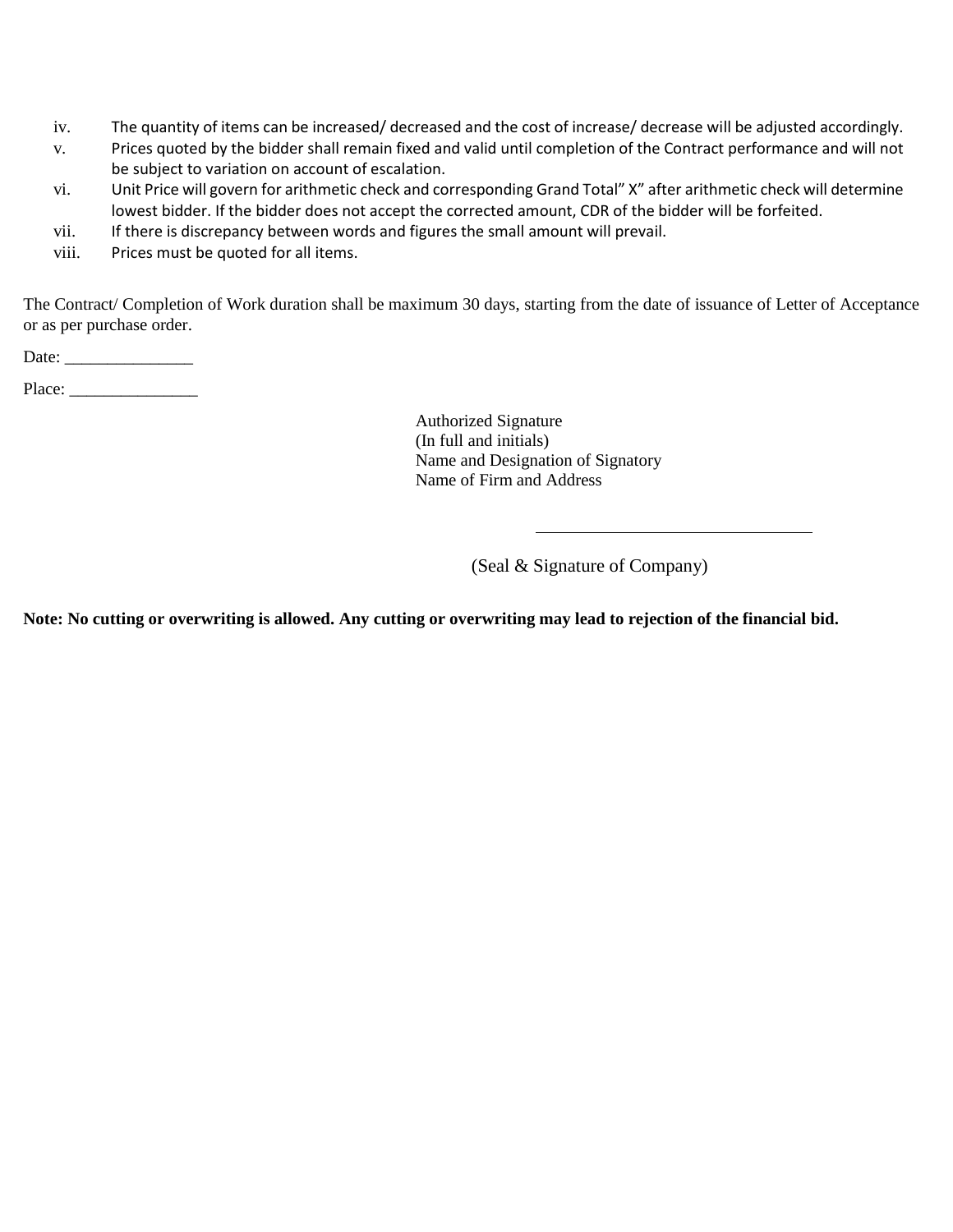- iv. The quantity of items can be increased/ decreased and the cost of increase/ decrease will be adjusted accordingly.
- v. Prices quoted by the bidder shall remain fixed and valid until completion of the Contract performance and will not be subject to variation on account of escalation.
- vi. Unit Price will govern for arithmetic check and corresponding Grand Total" X" after arithmetic check will determine lowest bidder. If the bidder does not accept the corrected amount, CDR of the bidder will be forfeited.
- vii. If there is discrepancy between words and figures the small amount will prevail.
- viii. Prices must be quoted for all items.

The Contract/ Completion of Work duration shall be maximum 30 days, starting from the date of issuance of Letter of Acceptance or as per purchase order.

Date: \_\_\_\_\_\_\_\_\_\_\_\_\_\_\_

Place: \_\_\_\_\_\_\_\_\_\_\_\_\_\_\_

Authorized Signature (In full and initials) Name and Designation of Signatory Name of Firm and Address

(Seal & Signature of Company)

**Note: No cutting or overwriting is allowed. Any cutting or overwriting may lead to rejection of the financial bid.**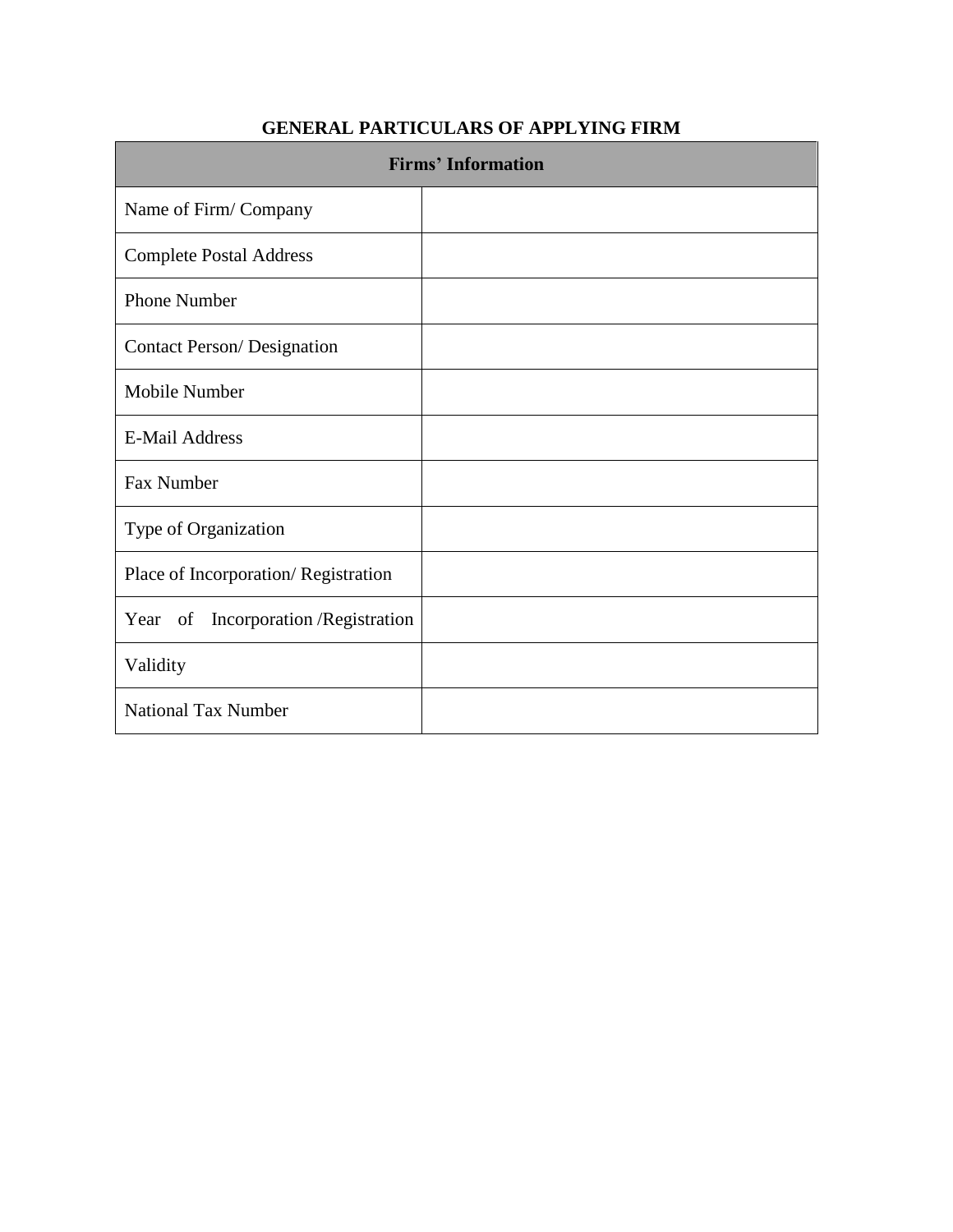#### **GENERAL PARTICULARS OF APPLYING FIRM**

| <b>Firms' Information</b>            |  |  |  |  |
|--------------------------------------|--|--|--|--|
| Name of Firm/Company                 |  |  |  |  |
| <b>Complete Postal Address</b>       |  |  |  |  |
| <b>Phone Number</b>                  |  |  |  |  |
| <b>Contact Person/ Designation</b>   |  |  |  |  |
| Mobile Number                        |  |  |  |  |
| <b>E-Mail Address</b>                |  |  |  |  |
| Fax Number                           |  |  |  |  |
| Type of Organization                 |  |  |  |  |
| Place of Incorporation/Registration  |  |  |  |  |
| Year of Incorporation / Registration |  |  |  |  |
| Validity                             |  |  |  |  |
| <b>National Tax Number</b>           |  |  |  |  |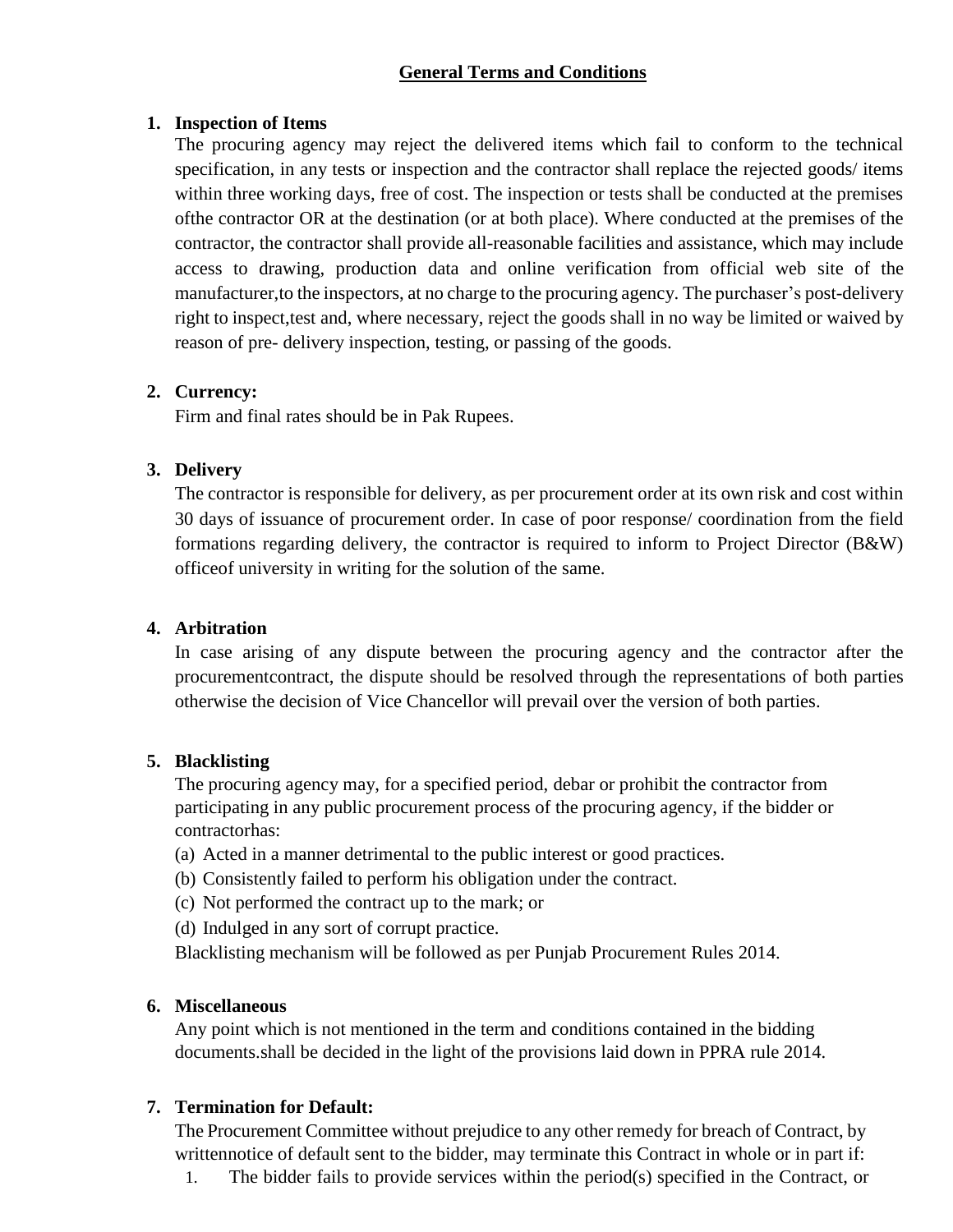#### **General Terms and Conditions**

#### **1. Inspection of Items**

The procuring agency may reject the delivered items which fail to conform to the technical specification, in any tests or inspection and the contractor shall replace the rejected goods/ items within three working days, free of cost. The inspection or tests shall be conducted at the premises ofthe contractor OR at the destination (or at both place). Where conducted at the premises of the contractor, the contractor shall provide all-reasonable facilities and assistance, which may include access to drawing, production data and online verification from official web site of the manufacturer,to the inspectors, at no charge to the procuring agency. The purchaser's post-delivery right to inspect,test and, where necessary, reject the goods shall in no way be limited or waived by reason of pre- delivery inspection, testing, or passing of the goods.

#### **2. Currency:**

Firm and final rates should be in Pak Rupees.

#### **3. Delivery**

The contractor is responsible for delivery, as per procurement order at its own risk and cost within 30 days of issuance of procurement order. In case of poor response/ coordination from the field formations regarding delivery, the contractor is required to inform to Project Director (B&W) officeof university in writing for the solution of the same.

#### **4. Arbitration**

In case arising of any dispute between the procuring agency and the contractor after the procurementcontract, the dispute should be resolved through the representations of both parties otherwise the decision of Vice Chancellor will prevail over the version of both parties.

#### **5. Blacklisting**

The procuring agency may, for a specified period, debar or prohibit the contractor from participating in any public procurement process of the procuring agency, if the bidder or contractorhas:

- (a) Acted in a manner detrimental to the public interest or good practices.
- (b) Consistently failed to perform his obligation under the contract.
- (c) Not performed the contract up to the mark; or
- (d) Indulged in any sort of corrupt practice.

Blacklisting mechanism will be followed as per Punjab Procurement Rules 2014.

#### **6. Miscellaneous**

Any point which is not mentioned in the term and conditions contained in the bidding documents.shall be decided in the light of the provisions laid down in PPRA rule 2014.

#### **7. Termination for Default:**

The Procurement Committee without prejudice to any other remedy for breach of Contract, by writtennotice of default sent to the bidder, may terminate this Contract in whole or in part if:

1. The bidder fails to provide services within the period(s) specified in the Contract, or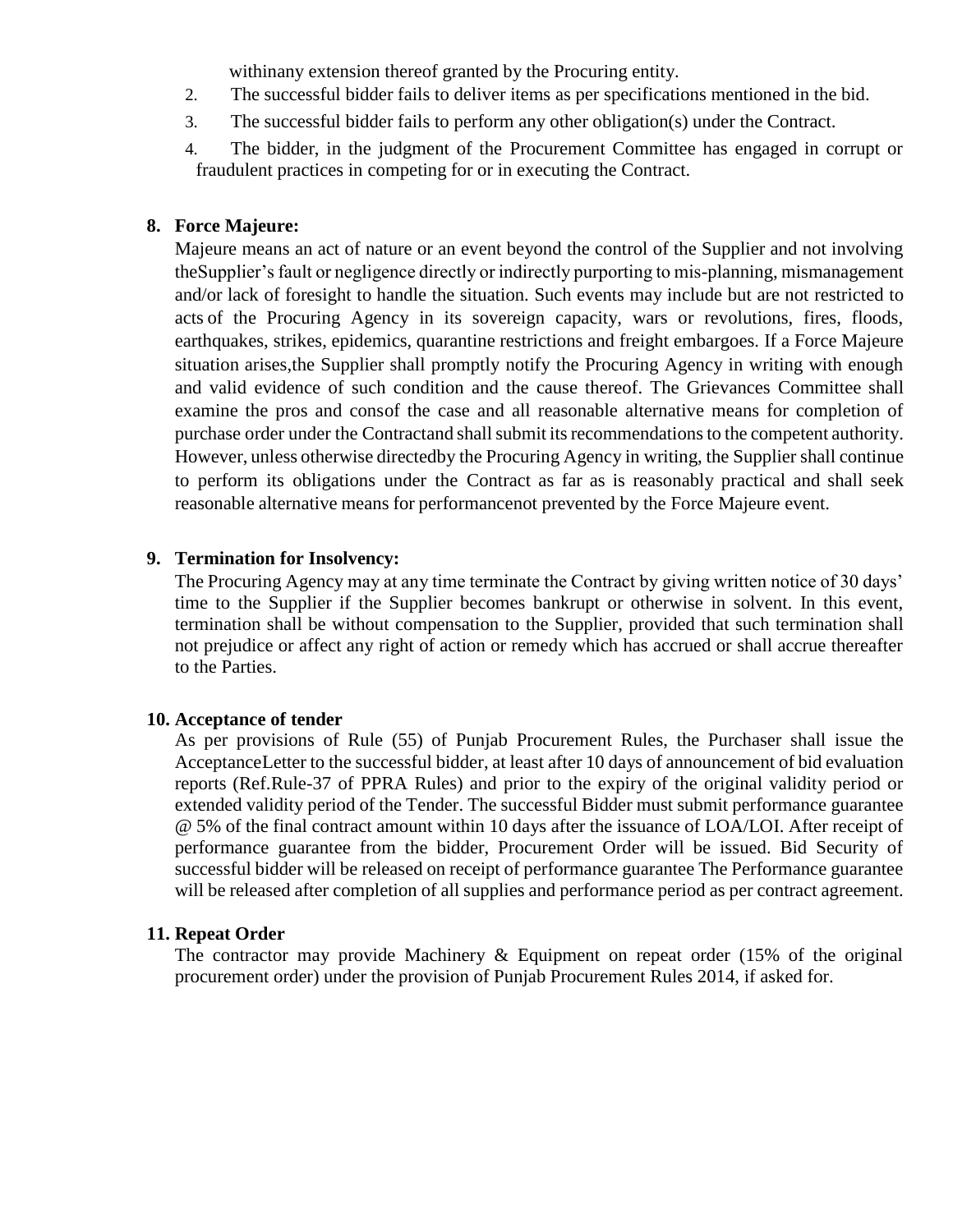withinany extension thereof granted by the Procuring entity.

- 2. The successful bidder fails to deliver items as per specifications mentioned in the bid.
- 3. The successful bidder fails to perform any other obligation(s) under the Contract.
- 4. The bidder, in the judgment of the Procurement Committee has engaged in corrupt or fraudulent practices in competing for or in executing the Contract.

#### **8. Force Majeure:**

Majeure means an act of nature or an event beyond the control of the Supplier and not involving theSupplier's fault or negligence directly or indirectly purporting to mis-planning, mismanagement and/or lack of foresight to handle the situation. Such events may include but are not restricted to acts of the Procuring Agency in its sovereign capacity, wars or revolutions, fires, floods, earthquakes, strikes, epidemics, quarantine restrictions and freight embargoes. If a Force Majeure situation arises,the Supplier shall promptly notify the Procuring Agency in writing with enough and valid evidence of such condition and the cause thereof. The Grievances Committee shall examine the pros and consof the case and all reasonable alternative means for completion of purchase order under the Contractand shall submit its recommendations to the competent authority. However, unless otherwise directedby the Procuring Agency in writing, the Supplier shall continue to perform its obligations under the Contract as far as is reasonably practical and shall seek reasonable alternative means for performancenot prevented by the Force Majeure event.

#### **9. Termination for Insolvency:**

The Procuring Agency may at any time terminate the Contract by giving written notice of 30 days' time to the Supplier if the Supplier becomes bankrupt or otherwise in solvent. In this event, termination shall be without compensation to the Supplier, provided that such termination shall not prejudice or affect any right of action or remedy which has accrued or shall accrue thereafter to the Parties.

#### **10. Acceptance of tender**

As per provisions of Rule (55) of Punjab Procurement Rules, the Purchaser shall issue the AcceptanceLetter to the successful bidder, at least after 10 days of announcement of bid evaluation reports (Ref.Rule-37 of PPRA Rules) and prior to the expiry of the original validity period or extended validity period of the Tender. The successful Bidder must submit performance guarantee @ 5% of the final contract amount within 10 days after the issuance of LOA/LOI. After receipt of performance guarantee from the bidder, Procurement Order will be issued. Bid Security of successful bidder will be released on receipt of performance guarantee The Performance guarantee will be released after completion of all supplies and performance period as per contract agreement.

#### **11. Repeat Order**

The contractor may provide Machinery & Equipment on repeat order (15% of the original procurement order) under the provision of Punjab Procurement Rules 2014, if asked for.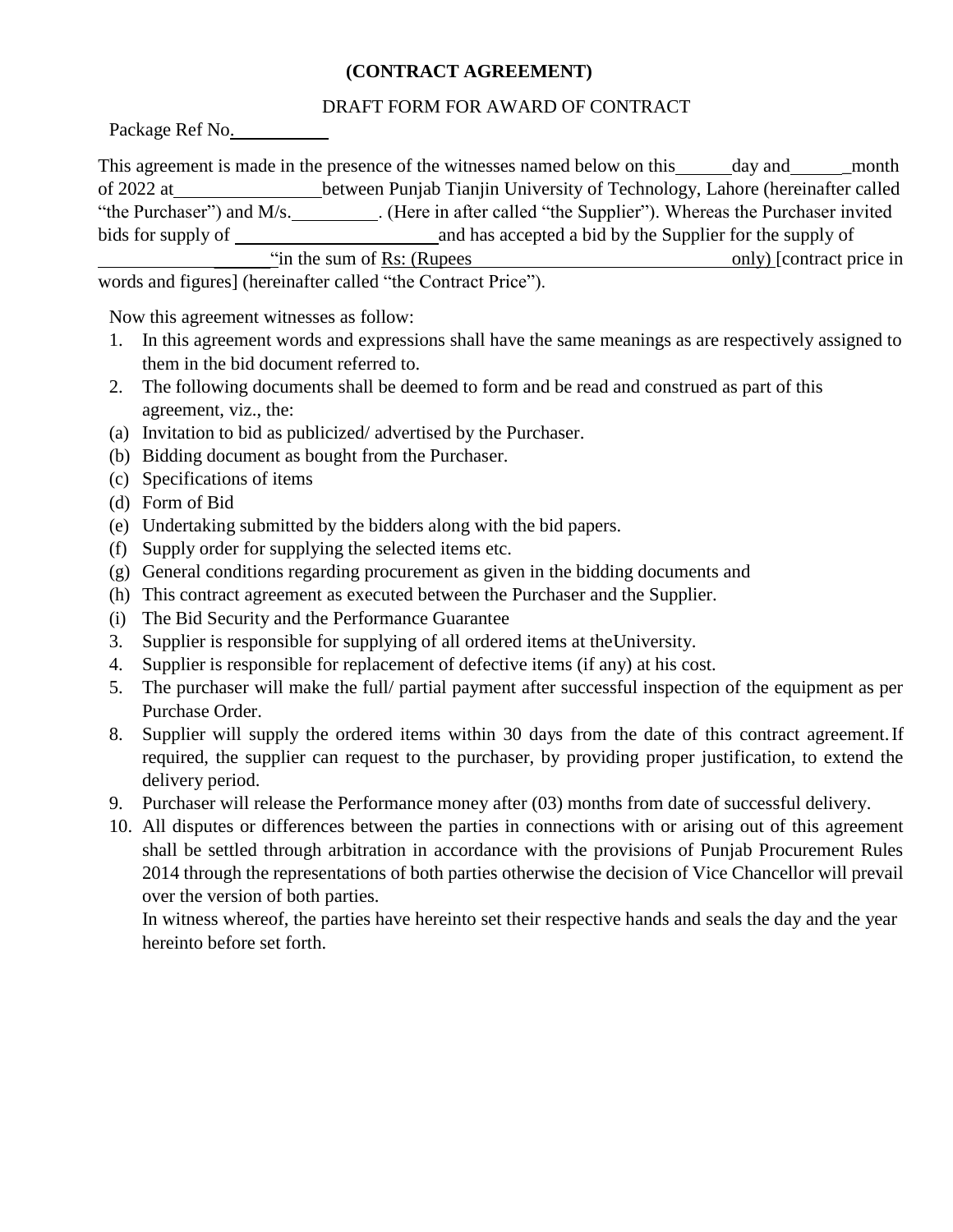#### **(CONTRACT AGREEMENT)**

#### DRAFT FORM FOR AWARD OF CONTRACT

Package Ref No.

| This agreement is made in the presence of the witnesses named below on this<br>day and<br>month     |                                                                             |  |  |  |  |
|-----------------------------------------------------------------------------------------------------|-----------------------------------------------------------------------------|--|--|--|--|
| of 2022 at                                                                                          | between Punjab Tianjin University of Technology, Lahore (hereinafter called |  |  |  |  |
| . (Here in after called "the Supplier"). Whereas the Purchaser invited<br>"the Purchaser") and M/s. |                                                                             |  |  |  |  |
| bids for supply of                                                                                  | and has accepted a bid by the Supplier for the supply of                    |  |  |  |  |
| "in the sum of Rs: (Rupees)<br>only) [contract price in]                                            |                                                                             |  |  |  |  |
| words and figures] (because the called "the Contract Dries")                                        |                                                                             |  |  |  |  |

words and figures] (hereinafter called "the Contract Price").

Now this agreement witnesses as follow:

- 1. In this agreement words and expressions shall have the same meanings as are respectively assigned to them in the bid document referred to.
- 2. The following documents shall be deemed to form and be read and construed as part of this agreement, viz., the:
- (a) Invitation to bid as publicized/ advertised by the Purchaser.
- (b) Bidding document as bought from the Purchaser.
- (c) Specifications of items
- (d) Form of Bid
- (e) Undertaking submitted by the bidders along with the bid papers.
- (f) Supply order for supplying the selected items etc.
- (g) General conditions regarding procurement as given in the bidding documents and
- (h) This contract agreement as executed between the Purchaser and the Supplier.
- (i) The Bid Security and the Performance Guarantee
- 3. Supplier is responsible for supplying of all ordered items at theUniversity.
- 4. Supplier is responsible for replacement of defective items (if any) at his cost.
- 5. The purchaser will make the full/ partial payment after successful inspection of the equipment as per Purchase Order.
- 8. Supplier will supply the ordered items within 30 days from the date of this contract agreement.If required, the supplier can request to the purchaser, by providing proper justification, to extend the delivery period.
- 9. Purchaser will release the Performance money after (03) months from date of successful delivery.
- 10. All disputes or differences between the parties in connections with or arising out of this agreement shall be settled through arbitration in accordance with the provisions of Punjab Procurement Rules 2014 through the representations of both parties otherwise the decision of Vice Chancellor will prevail over the version of both parties.

In witness whereof, the parties have hereinto set their respective hands and seals the day and the year hereinto before set forth.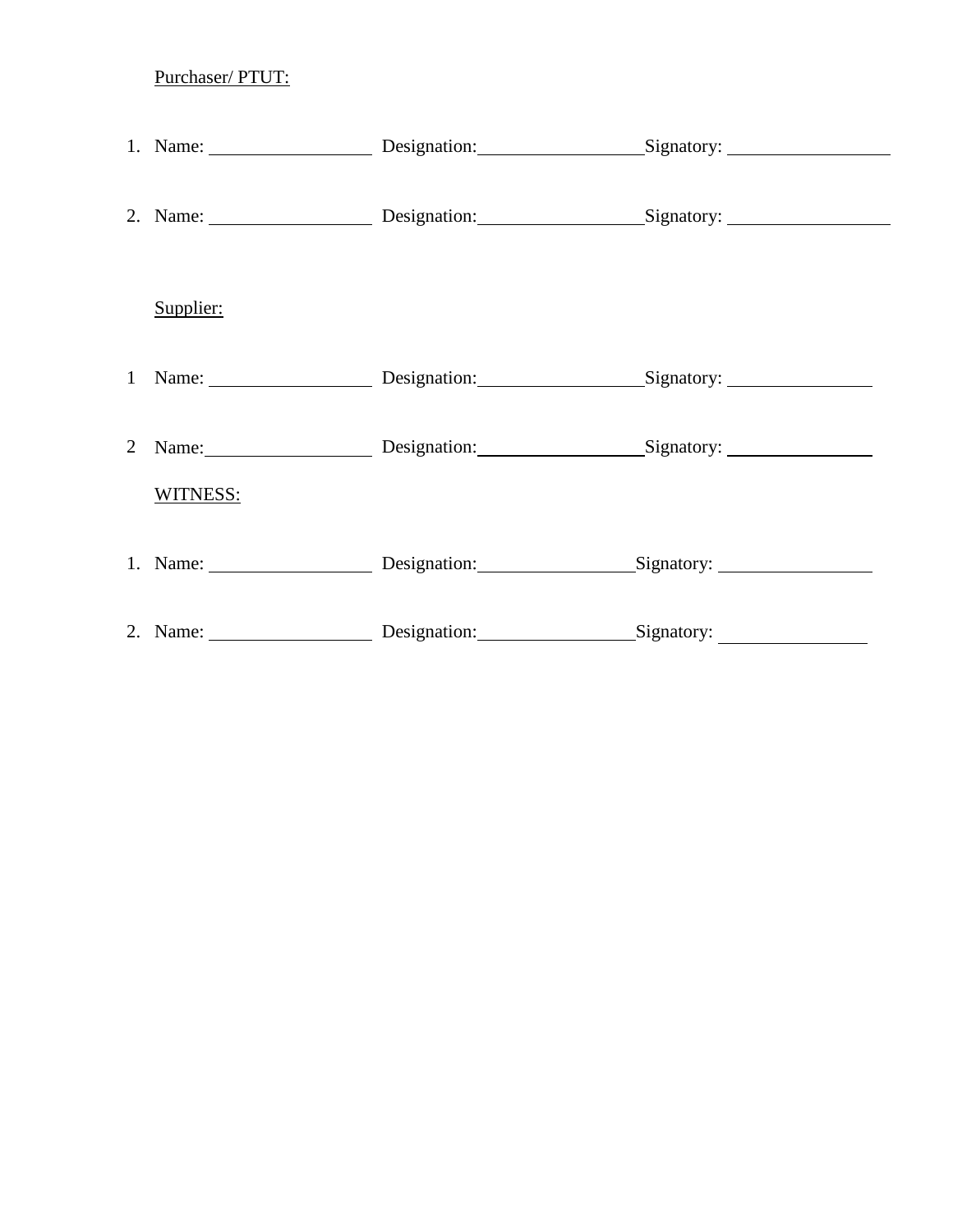Purchaser/ PTUT:

|   | Supplier: |                                             |                                                   |
|---|-----------|---------------------------------------------|---------------------------------------------------|
|   |           | 1 Name: Designation: Signatory: 1 Name:     |                                                   |
| 2 |           | Name: Designation: Signatory:               |                                                   |
|   | WITNESS:  |                                             |                                                   |
|   |           | 1. Name: Designation: Signatory: Signatory: |                                                   |
|   |           | 2. Name: Designation:                       | $\frac{\text{Signatory:}\n}{\text{Signatory:}\n}$ |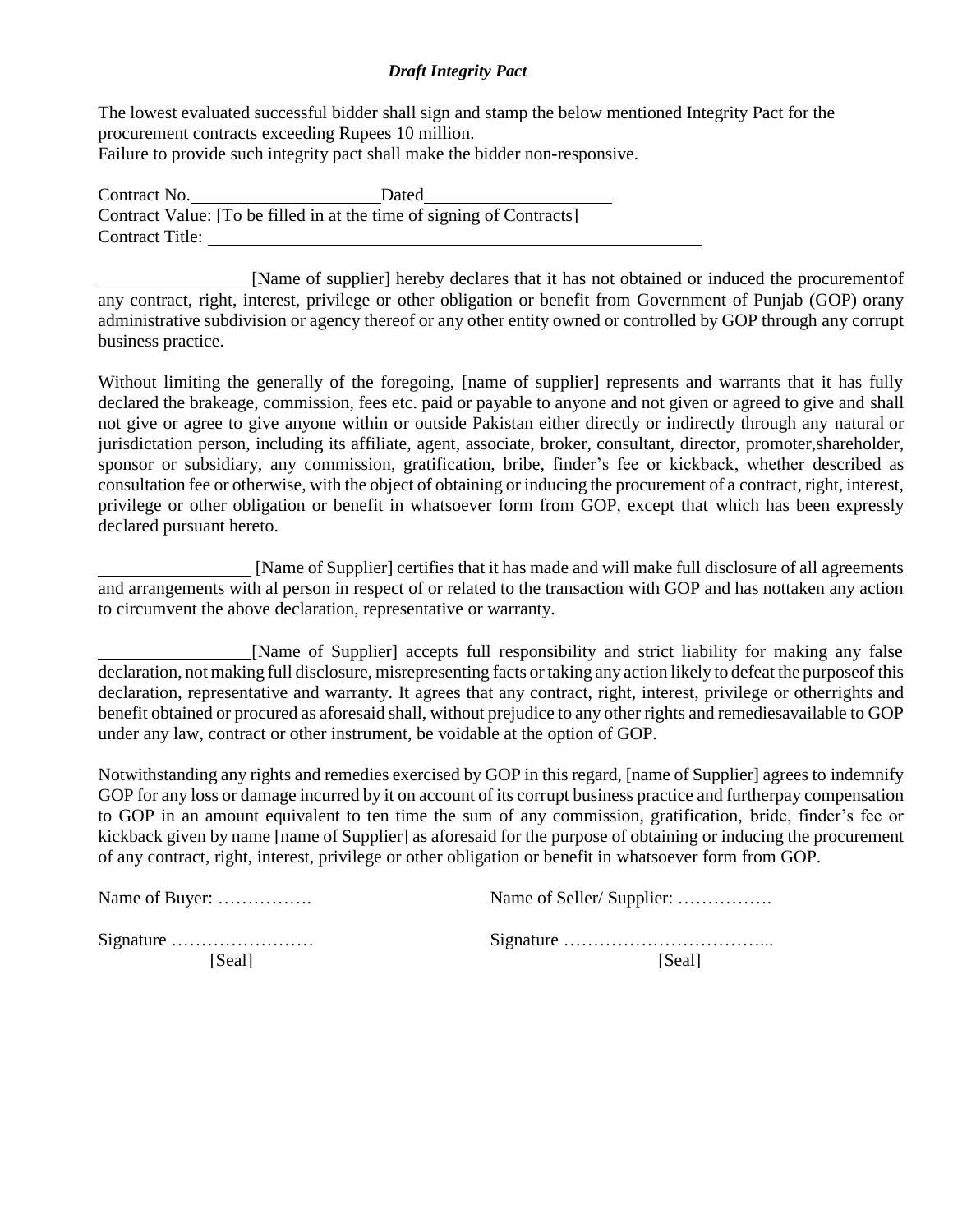#### *Draft Integrity Pact*

The lowest evaluated successful bidder shall sign and stamp the below mentioned Integrity Pact for the procurement contracts exceeding Rupees 10 million. Failure to provide such integrity pact shall make the bidder non-responsive.

Contract No. Dated Contract Value: [To be filled in at the time of signing of Contracts] Contract Title:

[Name of supplier] hereby declares that it has not obtained or induced the procurementof any contract, right, interest, privilege or other obligation or benefit from Government of Punjab (GOP) orany administrative subdivision or agency thereof or any other entity owned or controlled by GOP through any corrupt business practice.

Without limiting the generally of the foregoing, [name of supplier] represents and warrants that it has fully declared the brakeage, commission, fees etc. paid or payable to anyone and not given or agreed to give and shall not give or agree to give anyone within or outside Pakistan either directly or indirectly through any natural or jurisdictation person, including its affiliate, agent, associate, broker, consultant, director, promoter,shareholder, sponsor or subsidiary, any commission, gratification, bribe, finder's fee or kickback, whether described as consultation fee or otherwise, with the object of obtaining or inducing the procurement of a contract, right, interest, privilege or other obligation or benefit in whatsoever form from GOP, except that which has been expressly declared pursuant hereto.

[Name of Supplier] certifies that it has made and will make full disclosure of all agreements and arrangements with al person in respect of or related to the transaction with GOP and has nottaken any action to circumvent the above declaration, representative or warranty.

[Name of Supplier] accepts full responsibility and strict liability for making any false declaration, not making full disclosure, misrepresenting facts or taking any action likely to defeat the purposeof this declaration, representative and warranty. It agrees that any contract, right, interest, privilege or otherrights and benefit obtained or procured as aforesaid shall, without prejudice to any other rights and remediesavailable to GOP under any law, contract or other instrument, be voidable at the option of GOP.

Notwithstanding any rights and remedies exercised by GOP in this regard, [name of Supplier] agrees to indemnify GOP for any loss or damage incurred by it on account of its corrupt business practice and furtherpay compensation to GOP in an amount equivalent to ten time the sum of any commission, gratification, bride, finder's fee or kickback given by name [name of Supplier] as aforesaid for the purpose of obtaining or inducing the procurement of any contract, right, interest, privilege or other obligation or benefit in whatsoever form from GOP.

| Name of Buyer:                                  | Name of Seller/Supplier: |  |
|-------------------------------------------------|--------------------------|--|
| Signature $\dots \dots \dots \dots \dots \dots$ |                          |  |
| [Seal]                                          | [Seal]                   |  |